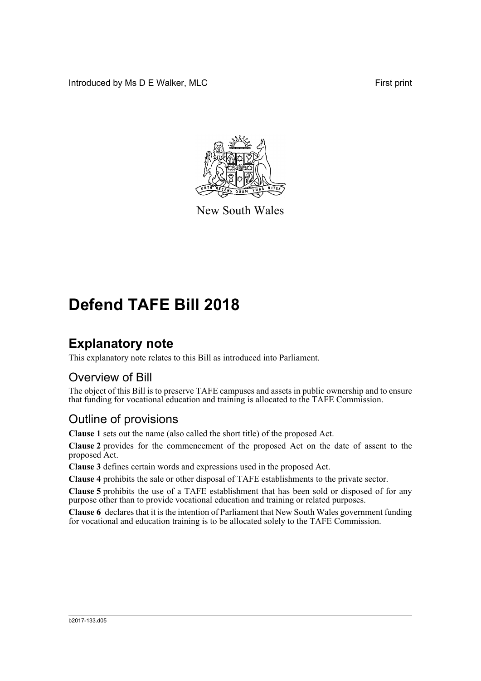Introduced by Ms D E Walker, MLC First print



New South Wales

## **Defend TAFE Bill 2018**

### **Explanatory note**

This explanatory note relates to this Bill as introduced into Parliament.

#### Overview of Bill

The object of this Bill is to preserve TAFE campuses and assets in public ownership and to ensure that funding for vocational education and training is allocated to the TAFE Commission.

#### Outline of provisions

**Clause 1** sets out the name (also called the short title) of the proposed Act.

**Clause 2** provides for the commencement of the proposed Act on the date of assent to the proposed Act.

**Clause 3** defines certain words and expressions used in the proposed Act.

**Clause 4** prohibits the sale or other disposal of TAFE establishments to the private sector.

**Clause 5** prohibits the use of a TAFE establishment that has been sold or disposed of for any purpose other than to provide vocational education and training or related purposes.

**Clause 6** declares that it is the intention of Parliament that New South Wales government funding for vocational and education training is to be allocated solely to the TAFE Commission.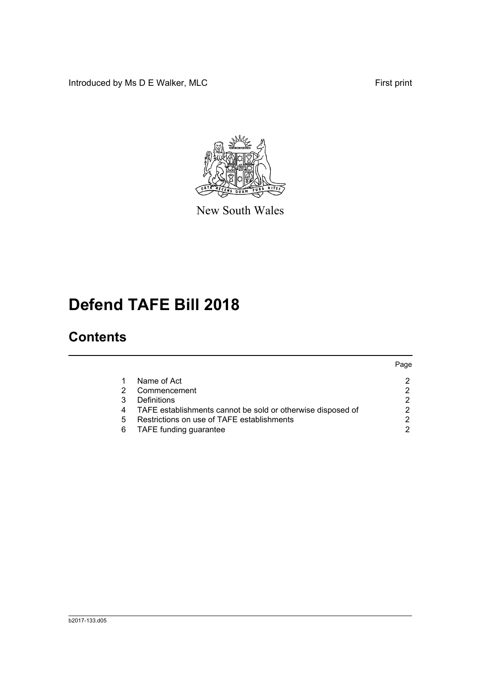Introduced by Ms D E Walker, MLC First print



New South Wales

# **Defend TAFE Bill 2018**

### **Contents**

|    |                                                             | Page |
|----|-------------------------------------------------------------|------|
|    | Name of Act                                                 |      |
| 2. | Commencement                                                |      |
| 3  | Definitions                                                 | າ    |
| 4  | TAFE establishments cannot be sold or otherwise disposed of | າ    |
| 5. | Restrictions on use of TAFE establishments                  | ◠    |
| 6  | TAFE funding guarantee                                      |      |
|    |                                                             |      |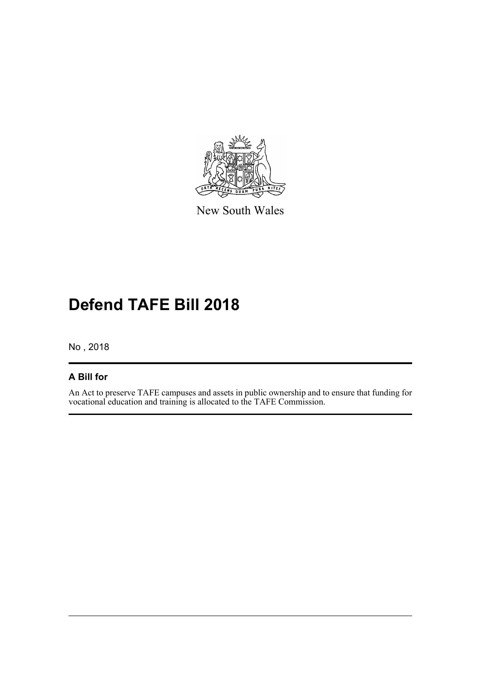

New South Wales

### **Defend TAFE Bill 2018**

No , 2018

#### **A Bill for**

An Act to preserve TAFE campuses and assets in public ownership and to ensure that funding for vocational education and training is allocated to the TAFE Commission.